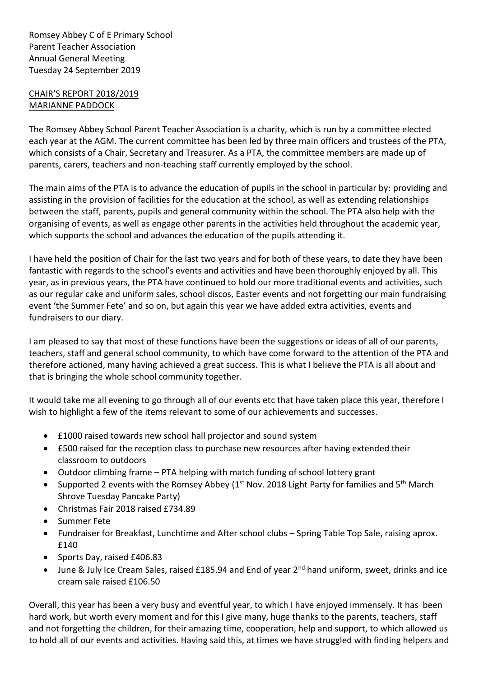Romsey Abbey C of E Primary School Parent Teacher Association Annual General Meeting Tuesday 24 September 2019

## CHAIR'S REPORT 2018/2019 MARIANNE PADDOCK

The Romsey Abbey School Parent Teacher Association is a charity, which is run by a committee elected each year at the AGM. The current committee has been led by three main officers and trustees of the PTA, which consists of a Chair, Secretary and Treasurer. As a PTA, the committee members are made up of parents, carers, teachers and non-teaching staff currently employed by the school.

The main aims of the PTA is to advance the education of pupils in the school in particular by: providing and assisting in the provision of facilities for the education at the school, as well as extending relationships between the staff, parents, pupils and general community within the school. The PTA also help with the organising of events, as well as engage other parents in the activities held throughout the academic year, which supports the school and advances the education of the pupils attending it.

I have held the position of Chair for the last two years and for both of these years, to date they have been fantastic with regards to the school's events and activities and have been thoroughly enjoyed by all. This year, as in previous years, the PTA have continued to hold our more traditional events and activities, such as our regular cake and uniform sales, school discos, Easter events and not forgetting our main fundraising event 'the Summer Fete' and so on, but again this year we have added extra activities, events and fundraisers to our diary.

I am pleased to say that most of these functions have been the suggestions or ideas of all of our parents, teachers, staff and general school community, to which have come forward to the attention of the PTA and therefore actioned, many having achieved a great success. This is what I believe the PTA is all about and that is bringing the whole school community together.

It would take me all evening to go through all of our events etc that have taken place this year, therefore I wish to highlight a few of the items relevant to some of our achievements and successes.

- £1000 raised towards new school hall projector and sound system
- £500 raised for the reception class to purchase new resources after having extended their classroom to outdoors
- Outdoor climbing frame PTA helping with match funding of school lottery grant
- Supported 2 events with the Romsey Abbey ( $1<sup>st</sup>$  Nov. 2018 Light Party for families and  $5<sup>th</sup>$  March Shrove Tuesday Pancake Party)
- Christmas Fair 2018 raised £734.89
- Summer Fete
- Fundraiser for Breakfast, Lunchtime and After school clubs Spring Table Top Sale, raising aprox. £140
- Sports Day, raised £406.83
- June & July Ice Cream Sales, raised £185.94 and End of year 2<sup>nd</sup> hand uniform, sweet, drinks and ice cream sale raised £106.50

Overall, this year has been a very busy and eventful year, to which I have enjoyed immensely. It has been hard work, but worth every moment and for this I give many, huge thanks to the parents, teachers, staff and not forgetting the children, for their amazing time, cooperation, help and support, to which allowed us to hold all of our events and activities. Having said this, at times we have struggled with finding helpers and